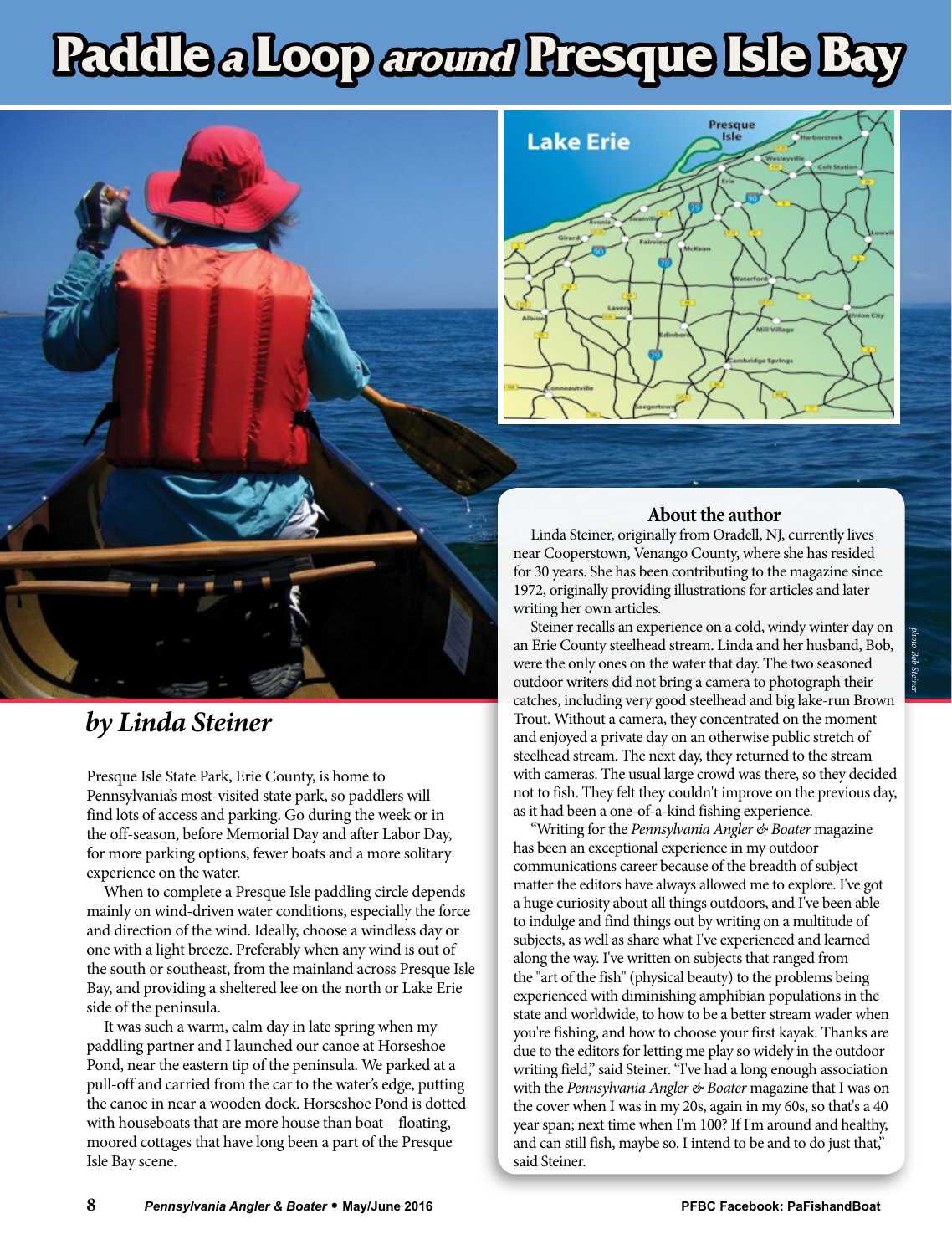## **Paddle <sup>a</sup> Loop around Presque Isle Bay**





Presque Isle State Park, Erie County, is home to Pennsylvania's most-visited state park, so paddlers will find lots of access and parking. Go during the week or in the off-season, before Memorial Day and after Labor Day, for more parking options, fewer boats and a more solitary experience on the water.

When to complete a Presque Isle paddling circle depends mainly on wind-driven water conditions, especially the force and direction of the wind. Ideally, choose a windless day or one with a light breeze. Preferably when any wind is out of the south or southeast, from the mainland across Presque Isle Bay, and providing a sheltered lee on the north or Lake Erie side of the peninsula.

It was such a warm, calm day in late spring when my paddling partner and I launched our canoe at Horseshoe Pond, near the eastern tip of the peninsula. We parked at a pull-off and carried from the car to the water's edge, putting the canoe in near a wooden dock. Horseshoe Pond is dotted with houseboats that are more house than boat—floating, moored cottages that have long been a part of the Presque Isle Bay scene.



## **About the author**

Linda Steiner, originally from Oradell, NJ, currently lives near Cooperstown, Venango County, where she has resided for 30 years. She has been contributing to the magazine since 1972, originally providing illustrations for articles and later writing her own articles.

Steiner recalls an experience on a cold, windy winter day on an Erie County steelhead stream. Linda and her husband, Bob, were the only ones on the water that day. The two seasoned outdoor writers did not bring a camera to photograph their catches, including very good steelhead and big lake-run Brown Trout. Without a camera, they concentrated on the moment and enjoyed a private day on an otherwise public stretch of steelhead stream. The next day, they returned to the stream with cameras. The usual large crowd was there, so they decided not to fish. They felt they couldn't improve on the previous day, as it had been a one-of-a-kind fishing experience.

"Writing for the *Pennsylvania Angler & Boater* magazine has been an exceptional experience in my outdoor communications career because of the breadth of subject matter the editors have always allowed me to explore. I've got a huge curiosity about all things outdoors, and I've been able to indulge and find things out by writing on a multitude of subjects, as well as share what I've experienced and learned along the way. I've written on subjects that ranged from the "art of the fish" (physical beauty) to the problems being experienced with diminishing amphibian populations in the state and worldwide, to how to be a better stream wader when you're fishing, and how to choose your first kayak. Thanks are due to the editors for letting me play so widely in the outdoor writing field," said Steiner. "I've had a long enough association with the *Pennsylvania Angler & Boater* magazine that I was on the cover when I was in my 20s, again in my 60s, so that's a 40 year span; next time when I'm 100? If I'm around and healthy, and can still fish, maybe so. I intend to be and to do just that," said Steiner.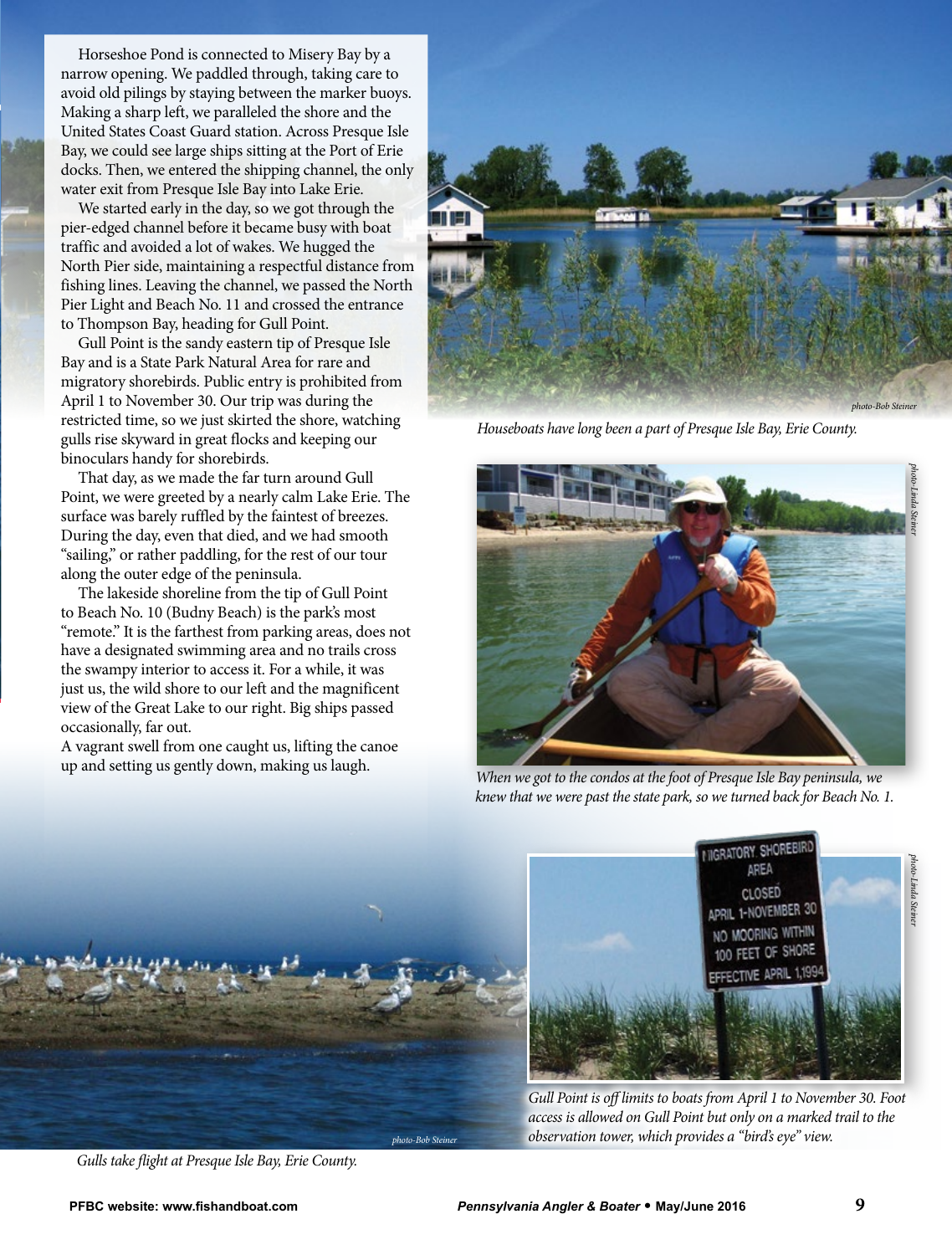Horseshoe Pond is connected to Misery Bay by a narrow opening. We paddled through, taking care to avoid old pilings by staying between the marker buoys. Making a sharp left, we paralleled the shore and the United States Coast Guard station. Across Presque Isle Bay, we could see large ships sitting at the Port of Erie docks. Then, we entered the shipping channel, the only water exit from Presque Isle Bay into Lake Erie.

We started early in the day, so we got through the pier-edged channel before it became busy with boat traffic and avoided a lot of wakes. We hugged the North Pier side, maintaining a respectful distance from fishing lines. Leaving the channel, we passed the North Pier Light and Beach No. 11 and crossed the entrance to Thompson Bay, heading for Gull Point.

Gull Point is the sandy eastern tip of Presque Isle Bay and is a State Park Natural Area for rare and migratory shorebirds. Public entry is prohibited from April 1 to November 30. Our trip was during the restricted time, so we just skirted the shore, watching gulls rise skyward in great flocks and keeping our binoculars handy for shorebirds.

That day, as we made the far turn around Gull Point, we were greeted by a nearly calm Lake Erie. The surface was barely ruffled by the faintest of breezes. During the day, even that died, and we had smooth "sailing," or rather paddling, for the rest of our tour along the outer edge of the peninsula.

The lakeside shoreline from the tip of Gull Point to Beach No. 10 (Budny Beach) is the park's most "remote." It is the farthest from parking areas, does not have a designated swimming area and no trails cross the swampy interior to access it. For a while, it was just us, the wild shore to our left and the magnificent view of the Great Lake to our right. Big ships passed occasionally, far out.

A vagrant swell from one caught us, lifting the canoe up and setting us gently down, making us laugh.



*Houseboats have long been a part of Presque Isle Bay, Erie County.* 



*When we got to the condos at the foot of Presque Isle Bay peninsula, we knew that we were past the state park, so we turned back for Beach No. 1.* 



*Gulls take flight at Presque Isle Bay, Erie County.* 



*Gull Point is off limits to boats from April 1 to November 30. Foot access is allowed on Gull Point but only on a marked trail to the observation tower, which provides a "bird's eye" view.* 

*photo-Linda Steiner*